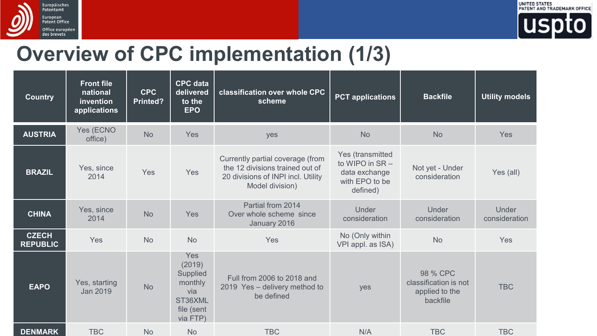



## **Overview of CPC implementation (1/3)**

| <b>Country</b>                  | <b>Front file</b><br>national<br>invention<br>applications | <b>CPC</b><br>Printed? | <b>CPC</b> data<br>delivered<br>to the<br><b>EPO</b>                                    | classification over whole CPC<br>scheme                                                                                      | <b>PCT</b> applications                                                            | <b>Backfile</b>                                                 | <b>Utility models</b>         |
|---------------------------------|------------------------------------------------------------|------------------------|-----------------------------------------------------------------------------------------|------------------------------------------------------------------------------------------------------------------------------|------------------------------------------------------------------------------------|-----------------------------------------------------------------|-------------------------------|
| <b>AUSTRIA</b>                  | Yes (ECNO<br>office)                                       | <b>No</b>              | Yes                                                                                     | yes                                                                                                                          | <b>No</b>                                                                          | <b>No</b>                                                       | Yes                           |
| <b>BRAZIL</b>                   | Yes, since<br>2014                                         | Yes                    | Yes                                                                                     | Currently partial coverage (from<br>the 12 divisions trained out of<br>20 divisions of INPI incl. Utility<br>Model division) | Yes (transmitted<br>to WIPO in SR -<br>data exchange<br>with EPO to be<br>defined) | Not yet - Under<br>consideration                                | Yes (all)                     |
| <b>CHINA</b>                    | Yes, since<br>2014                                         | <b>No</b>              | Yes                                                                                     | Partial from 2014<br>Over whole scheme since<br>January 2016                                                                 | Under<br>consideration                                                             | Under<br>consideration                                          | <b>Under</b><br>consideration |
| <b>CZECH</b><br><b>REPUBLIC</b> | <b>Yes</b>                                                 | <b>No</b>              | <b>No</b>                                                                               | Yes                                                                                                                          | No (Only within<br>VPI appl. as ISA)                                               | <b>No</b>                                                       | Yes                           |
| <b>EAPO</b>                     | Yes, starting<br>Jan 2019                                  | <b>No</b>              | <b>Yes</b><br>(2019)<br>Supplied<br>monthly<br>via<br>ST36XML<br>file (sent<br>via FTP) | Full from 2006 to 2018 and<br>2019 Yes - delivery method to<br>be defined                                                    | yes                                                                                | 98 % CPC<br>classification is not<br>applied to the<br>backfile | <b>TBC</b>                    |
| <b>DENMARK</b>                  | <b>TBC</b>                                                 | <b>No</b>              | <b>No</b>                                                                               | <b>TBC</b>                                                                                                                   | N/A                                                                                | <b>TBC</b>                                                      | <b>TBC</b>                    |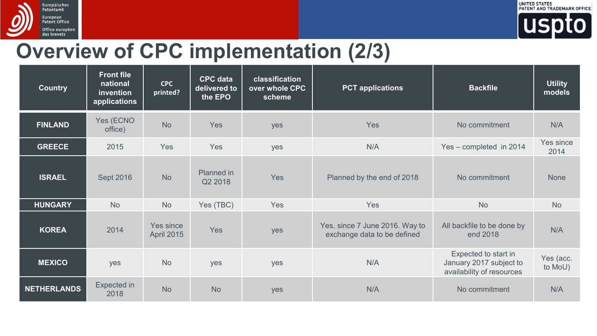



## **Overview of CPC implementation (2/3)**

| <b>Country</b>     | <b>Front file</b><br>national<br><i>invention</i><br>applications | <b>CPC</b><br>printed?  | <b>CPC</b> data<br>delivered to<br>the EPO | classification<br>over whole CPC<br>scheme | <b>PCT</b> applications                                       | <b>Backfile</b>                                                              | <b>Utility</b><br>models |
|--------------------|-------------------------------------------------------------------|-------------------------|--------------------------------------------|--------------------------------------------|---------------------------------------------------------------|------------------------------------------------------------------------------|--------------------------|
| <b>FINLAND</b>     | Yes (ECNO<br>office)                                              | <b>No</b>               | <b>Yes</b>                                 | yes                                        | Yes                                                           | No commitment                                                                | N/A                      |
| <b>GREECE</b>      | 2015                                                              | Yes                     | <b>Yes</b>                                 | yes                                        | N/A                                                           | Yes - completed in 2014                                                      | Yes since<br>2014        |
| <b>ISRAEL</b>      | Sept 2016                                                         | <b>No</b>               | Planned in<br>Q2 2018                      | Yes                                        | Planned by the end of 2018                                    | No commitment                                                                | <b>None</b>              |
| <b>HUNGARY</b>     | <b>No</b>                                                         | <b>No</b>               | Yes (TBC)                                  | Yes                                        | Yes                                                           | <b>No</b>                                                                    | <b>No</b>                |
| <b>KOREA</b>       | 2014                                                              | Yes since<br>April 2015 | <b>Yes</b>                                 | yes                                        | Yes, since 7 June 2016. Way to<br>exchange data to be defined | All backfile to be done by<br>end 2018                                       | N/A                      |
| <b>MEXICO</b>      | yes                                                               | <b>No</b>               | yes                                        | yes                                        | N/A                                                           | Expected to start in<br>January 2017 subject to<br>availability of resources | Yes (acc.<br>to MoU)     |
| <b>NETHERLANDS</b> | Expected in<br>2018                                               | <b>No</b>               | <b>No</b>                                  | yes                                        | N/A                                                           | No commitment                                                                | N/A                      |